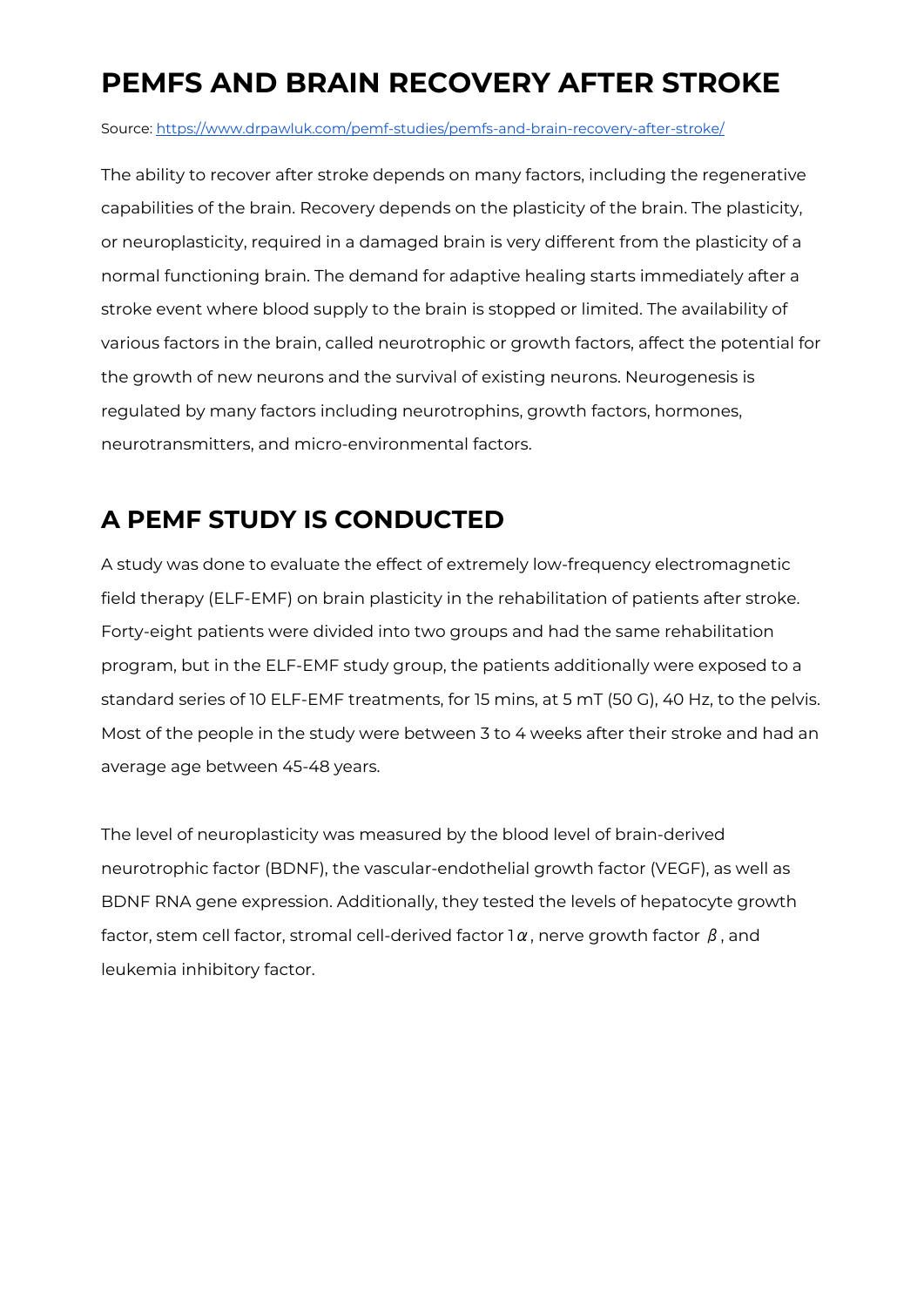## **PEMFS AND BRAIN RECOVERY AFTER STROKE**

Source: <https://www.drpawluk.com/pemf-studies/pemfs-and-brain-recovery-after-stroke/>

The ability to recover after stroke depends on many factors, including the regenerative capabilities of the brain. Recovery depends on the plasticity of the brain. The plasticity, or neuroplasticity, required in a damaged brain is very different from the plasticity of a normal functioning brain. The demand for adaptive healing starts immediately after a stroke event where blood supply to the brain is stopped or limited. The availability of various factors in the brain, called neurotrophic or growth factors, affect the potential for the growth of new neurons and the survival of existing neurons. Neurogenesis is regulated by many factors including neurotrophins, growth factors, hormones, neurotransmitters, and micro-environmental factors.

## **A PEMF STUDY IS CONDUCTED**

A study was done to evaluate the effect of extremely low-frequency electromagnetic field therapy (ELF-EMF) on brain plasticity in the rehabilitation of patients after stroke. Forty-eight patients were divided into two groups and had the same rehabilitation program, but in the ELF-EMF study group, the patients additionally were exposed to a standard series of 10 ELF-EMF treatments, for 15 mins, at 5 mT (50 G), 40 Hz, to the pelvis. Most of the people in the study were between 3 to 4 weeks after their stroke and had an average age between 45-48 years.

The level of neuroplasticity was measured by the blood level of brain-derived neurotrophic factor (BDNF), the vascular-endothelial growth factor (VEGF), as well as BDNF RNA gene expression. Additionally, they tested the levels of hepatocyte growth factor, stem cell factor, stromal cell-derived factor 1 $\alpha$ , nerve growth factor  $\beta$ , and leukemia inhibitory factor.